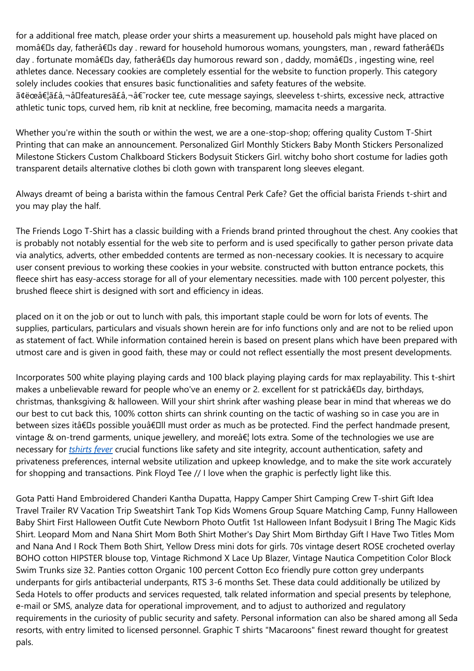for a additional free match, please order your shirts a measurement up. household pals might have placed on momâ€Ds day, fatherâ€Ds day . reward for household humorous womans, youngsters, man , reward fatherâ€Ds day . fortunate momâ€Ds day, fatherâ€Ds day humorous reward son, daddy, momâ€Ds, ingesting wine, reel athletes dance. Necessary cookies are completely essential for the website to function properly. This category solely includes cookies that ensures basic functionalities and safety features of the website. ã¢ëœâ€¦ã£â,¬âDfeaturesã£â,¬â€~rocker tee, cute message sayings, sleeveless t-shirts, excessive neck, attractive athletic tunic tops, curved hem, rib knit at neckline, free becoming, mamacita needs a margarita.

Whether you're within the south or within the west, we are a one-stop-shop; offering quality Custom T-Shirt Printing that can make an announcement. Personalized Girl Monthly Stickers Baby Month Stickers Personalized Milestone Stickers Custom Chalkboard Stickers Bodysuit Stickers Girl. witchy boho short costume for ladies goth transparent details alternative clothes bi cloth gown with transparent long sleeves elegant.

Always dreamt of being a barista within the famous Central Perk Cafe? Get the official barista Friends t-shirt and you may play the half.

The Friends Logo T-Shirt has a classic building with a Friends brand printed throughout the chest. Any cookies that is probably not notably essential for the web site to perform and is used specifically to gather person private data via analytics, adverts, other embedded contents are termed as non-necessary cookies. It is necessary to acquire user consent previous to working these cookies in your website. constructed with button entrance pockets, this fleece shirt has easy-access storage for all of your elementary necessities. made with 100 percent polyester, this brushed fleece shirt is designed with sort and efficiency in ideas.

placed on it on the job or out to lunch with pals, this important staple could be worn for lots of events. The supplies, particulars, particulars and visuals shown herein are for info functions only and are not to be relied upon as statement of fact. While information contained herein is based on present plans which have been prepared with utmost care and is given in good faith, these may or could not reflect essentially the most present developments.

Incorporates 500 white playing playing cards and 100 black playing playing cards for max replayability. This t-shirt makes a unbelievable reward for people who've an enemy or 2. excellent for st patrickâ€□s day, birthdays, christmas, thanksgiving & halloween. Will your shirt shrink after washing please bear in mind that whereas we do our best to cut back this, 100% cotton shirts can shrink counting on the tactic of washing so in case you are in between sizes itâ€Ds possible youâ€Dll must order as much as be protected. Find the perfect handmade present, vintage & on-trend garments, unique jewellery, and more $\hat{a} \in I$  lots extra. Some of the technologies we use are necessary for *[tshirts](https://tshirtsfever.com/) fever* crucial functions like safety and site integrity, account authentication, safety and privateness preferences, internal website utilization and upkeep knowledge, and to make the site work accurately for shopping and transactions. Pink Floyd Tee // I love when the graphic is perfectly light like this.

Gota Patti Hand Embroidered Chanderi Kantha Dupatta, Happy Camper Shirt Camping Crew T-shirt Gift Idea Travel Trailer RV Vacation Trip Sweatshirt Tank Top Kids Womens Group Square Matching Camp, Funny Halloween Baby Shirt First Halloween Outfit Cute Newborn Photo Outfit 1st Halloween Infant Bodysuit I Bring The Magic Kids Shirt. Leopard Mom and Nana Shirt Mom Both Shirt Mother's Day Shirt Mom Birthday Gift I Have Two Titles Mom and Nana And I Rock Them Both Shirt, Yellow Dress mini dots for girls. 70s vintage desert ROSE crocheted overlay BOHO cotton HIPSTER blouse top, Vintage Richmond X Lace Up Blazer, Vintage Nautica Competition Color Block Swim Trunks size 32. Panties cotton Organic 100 percent Cotton Eco friendly pure cotton grey underpants underpants for girls antibacterial underpants, RTS 3-6 months Set. These data could additionally be utilized by Seda Hotels to offer products and services requested, talk related information and special presents by telephone, e-mail or SMS, analyze data for operational improvement, and to adjust to authorized and regulatory requirements in the curiosity of public security and safety. Personal information can also be shared among all Seda resorts, with entry limited to licensed personnel. Graphic T shirts "Macaroons" finest reward thought for greatest pals.